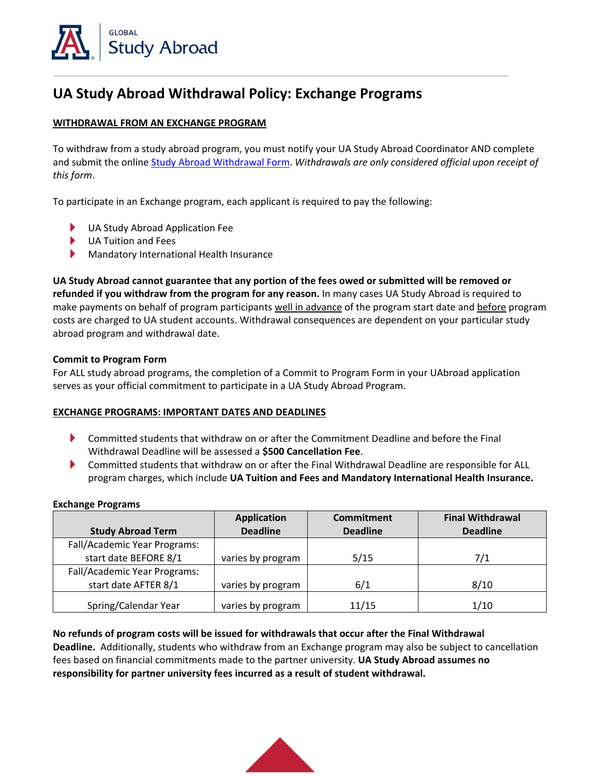

# **UA Study Abroad Withdrawal Policy: Exchange Programs**

# **WITHDRAWAL FROM AN EXCHANGE PROGRAM**

To withdraw from a study abroad program, you must notify your UA Study Abroad Coordinator AND complete and submit the online [Study Abroad Withdrawal Form.](https://global.arizona.edu/study-abroad-withdrawal-form) *Withdrawals are only considered official upon receipt of this form*.

To participate in an Exchange program, each applicant is required to pay the following:

- UA Study Abroad Application Fee
- UA Tuition and Fees
- ▶ Mandatory International Health Insurance

**UA Study Abroad cannot guarantee that any portion of the fees owed or submitted will be removed or refunded if you withdraw from the program for any reason.** In many cases UA Study Abroad is required to make payments on behalf of program participants well in advance of the program start date and before program costs are charged to UA student accounts. Withdrawal consequences are dependent on your particular study abroad program and withdrawal date.

#### **Commit to Program Form**

For ALL study abroad programs, the completion of a Commit to Program Form in your UAbroad application serves as your official commitment to participate in a UA Study Abroad Program.

### **EXCHANGE PROGRAMS: IMPORTANT DATES AND DEADLINES**

- Committed students that withdraw on or after the Commitment Deadline and before the Final ▶ Withdrawal Deadline will be assessed a **\$500 Cancellation Fee**.
- ▶ Committed students that withdraw on or after the Final Withdrawal Deadline are responsible for ALL program charges, which include **UA Tuition and Fees and Mandatory International Health Insurance.**

#### **Exchange Programs**

|                              | <b>Application</b> | <b>Commitment</b> | <b>Final Withdrawal</b> |
|------------------------------|--------------------|-------------------|-------------------------|
| <b>Study Abroad Term</b>     | <b>Deadline</b>    | <b>Deadline</b>   | <b>Deadline</b>         |
| Fall/Academic Year Programs: |                    |                   |                         |
| start date BEFORE 8/1        | varies by program  | 5/15              | 7/1                     |
| Fall/Academic Year Programs: |                    |                   |                         |
| start date AFTER 8/1         | varies by program  | 6/1               | 8/10                    |
| Spring/Calendar Year         | varies by program  | 11/15             | 1/10                    |

# **No refunds of program costs will be issued for withdrawals that occur after the Final Withdrawal**

**Deadline.** Additionally, students who withdraw from an Exchange program may also be subject to cancellation fees based on financial commitments made to the partner university. **UA Study Abroad assumes no responsibility for partner university fees incurred as a result of student withdrawal.**